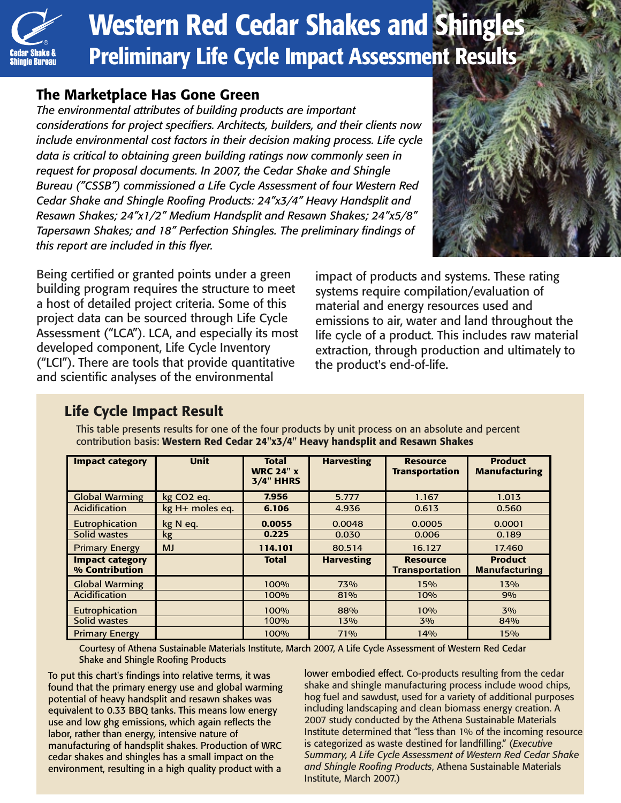

# **Western Red Cedar Shakes and Shingles** Preliminary Life Cycle Impact Assessment Results

#### The Marketplace Has Gone Green

*The environmental attributes of building products are important considerations for project specifiers. Architects, builders, and their clients now include environmental cost factors in their decision making process. Life cycle data is critical to obtaining green building ratings now commonly seen in request for proposal documents. In 2007, the Cedar Shake and Shingle Bureau ("CSSB") commissioned a Life Cycle Assessment of four Western Red Cedar Shake and Shingle Roofing Products: 24"x3/4" Heavy Handsplit and Resawn Shakes; 24"x1/2" Medium Handsplit and Resawn Shakes; 24"x5/8" Tapersawn Shakes; and 18" Perfection Shingles. The preliminary findings of this report are included in this flyer.*



Being certified or granted points under a green building program requires the structure to meet a host of detailed project criteria. Some of this project data can be sourced through Life Cycle Assessment ("LCA"). LCA, and especially its most developed component, Life Cycle Inventory ("LCI"). There are tools that provide quantitative and scientific analyses of the environmental

impact of products and systems. These rating systems require compilation/evaluation of material and energy resources used and emissions to air, water and land throughout the life cycle of a product. This includes raw material extraction, through production and ultimately to the product's end-of-life.

### Life Cycle Impact Result

| <b>Impact category</b>                   | <b>Unit</b>            | <b>Total</b><br><b>WRC 24" x</b><br><b>3/4" HHRS</b> | <b>Harvesting</b> | <b>Resource</b><br><b>Transportation</b> | <b>Product</b><br><b>Manufacturing</b> |
|------------------------------------------|------------------------|------------------------------------------------------|-------------------|------------------------------------------|----------------------------------------|
| <b>Global Warming</b>                    | kg CO <sub>2</sub> eq. | 7.956                                                | 5.777             | 1.167                                    | 1.013                                  |
| Acidification                            | kg H+ moles eq.        | 6.106                                                | 4.936             | 0.613                                    | 0.560                                  |
| Eutrophication                           | kg N eq.               | 0.0055                                               | 0.0048            | 0.0005                                   | 0.0001                                 |
| Solid wastes                             | kg                     | 0.225                                                | 0.030             | 0.006                                    | 0.189                                  |
| <b>Primary Energy</b>                    | <b>MJ</b>              | 114.101                                              | 80.514            | 16.127                                   | 17.460                                 |
| <b>Impact category</b><br>% Contribution |                        | <b>Total</b>                                         | <b>Harvesting</b> | <b>Resource</b><br><b>Transportation</b> | <b>Product</b><br><b>Manufacturing</b> |
| <b>Global Warming</b>                    |                        | 100%                                                 | 73%               | 15%                                      | 13%                                    |
| <b>Acidification</b>                     |                        | 100%                                                 | 81%               | 10%                                      | 9%                                     |
| Eutrophication                           |                        | 100%                                                 | 88%               | 10%                                      | 3%                                     |
| Solid wastes                             |                        | 100%                                                 | 13%               | 3%                                       | 84%                                    |
| <b>Primary Energy</b>                    |                        | 100%                                                 | 71%               | 14%                                      | 15%                                    |

This table presents results for one of the four products by unit process on an absolute and percent contribution basis: Western Red Cedar 24"x3/4" Heavy handsplit and Resawn Shakes

Courtesy of Athena Sustainable Materials Institute, March 2007, A Life Cycle Assessment of Western Red Cedar Shake and Shingle Roofing Products

To put this chart's findings into relative terms, it was found that the primary energy use and global warming potential of heavy handsplit and resawn shakes was equivalent to 0.33 BBQ tanks. This means low energy use and low ghg emissions, which again reflects the labor, rather than energy, intensive nature of manufacturing of handsplit shakes. Production of WRC cedar shakes and shingles has a small impact on the environment, resulting in a high quality product with a

lower embodied effect. Co-products resulting from the cedar shake and shingle manufacturing process include wood chips, hog fuel and sawdust, used for a variety of additional purposes including landscaping and clean biomass energy creation. A 2007 study conducted by the Athena Sustainable Materials Institute determined that "less than 1% of the incoming resource is categorized as waste destined for landfilling." (*Executive Summary, A Life Cycle Assessment of Western Red Cedar Shake and Shingle Roofing Products*, Athena Sustainable Materials Institute, March 2007.)